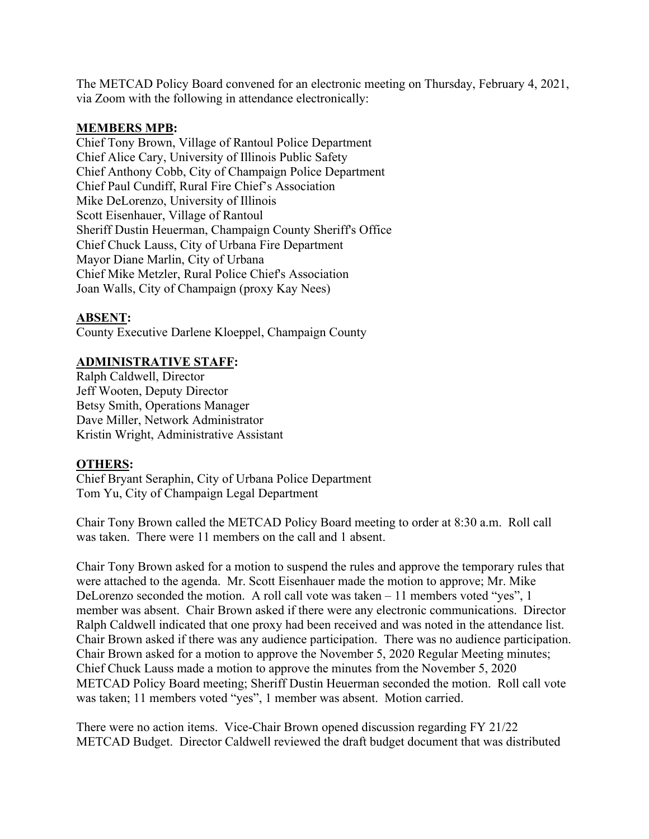The METCAD Policy Board convened for an electronic meeting on Thursday, February 4, 2021, via Zoom with the following in attendance electronically:

## **MEMBERS MPB:**

Chief Tony Brown, Village of Rantoul Police Department Chief Alice Cary, University of Illinois Public Safety Chief Anthony Cobb, City of Champaign Police Department Chief Paul Cundiff, Rural Fire Chief's Association Mike DeLorenzo, University of Illinois Scott Eisenhauer, Village of Rantoul Sheriff Dustin Heuerman, Champaign County Sheriff's Office Chief Chuck Lauss, City of Urbana Fire Department Mayor Diane Marlin, City of Urbana Chief Mike Metzler, Rural Police Chief's Association Joan Walls, City of Champaign (proxy Kay Nees)

## **ABSENT:**

County Executive Darlene Kloeppel, Champaign County

## **ADMINISTRATIVE STAFF:**

Ralph Caldwell, Director Jeff Wooten, Deputy Director Betsy Smith, Operations Manager Dave Miller, Network Administrator Kristin Wright, Administrative Assistant

## **OTHERS:**

Chief Bryant Seraphin, City of Urbana Police Department Tom Yu, City of Champaign Legal Department

Chair Tony Brown called the METCAD Policy Board meeting to order at 8:30 a.m. Roll call was taken. There were 11 members on the call and 1 absent.

Chair Tony Brown asked for a motion to suspend the rules and approve the temporary rules that were attached to the agenda. Mr. Scott Eisenhauer made the motion to approve; Mr. Mike DeLorenzo seconded the motion. A roll call vote was taken – 11 members voted "yes", 1 member was absent. Chair Brown asked if there were any electronic communications. Director Ralph Caldwell indicated that one proxy had been received and was noted in the attendance list. Chair Brown asked if there was any audience participation. There was no audience participation. Chair Brown asked for a motion to approve the November 5, 2020 Regular Meeting minutes; Chief Chuck Lauss made a motion to approve the minutes from the November 5, 2020 METCAD Policy Board meeting; Sheriff Dustin Heuerman seconded the motion. Roll call vote was taken; 11 members voted "yes", 1 member was absent. Motion carried.

There were no action items. Vice-Chair Brown opened discussion regarding FY 21/22 METCAD Budget. Director Caldwell reviewed the draft budget document that was distributed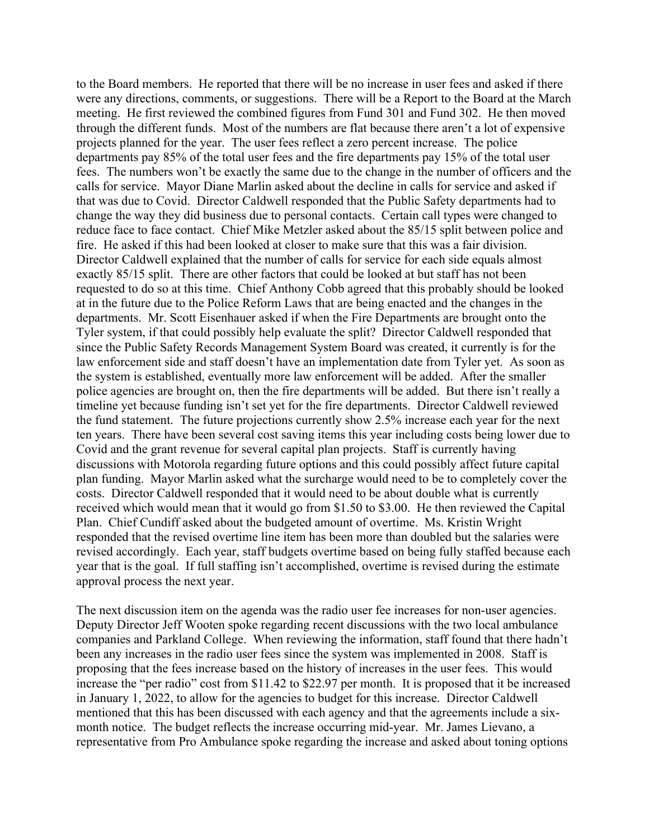to the Board members. He reported that there will be no increase in user fees and asked if there were any directions, comments, or suggestions. There will be a Report to the Board at the March meeting. He first reviewed the combined figures from Fund 301 and Fund 302. He then moved through the different funds. Most of the numbers are flat because there aren't a lot of expensive projects planned for the year. The user fees reflect a zero percent increase. The police departments pay 85% of the total user fees and the fire departments pay 15% of the total user fees. The numbers won't be exactly the same due to the change in the number of officers and the calls for service. Mayor Diane Marlin asked about the decline in calls for service and asked if that was due to Covid. Director Caldwell responded that the Public Safety departments had to change the way they did business due to personal contacts. Certain call types were changed to reduce face to face contact. Chief Mike Metzler asked about the 85/15 split between police and fire. He asked if this had been looked at closer to make sure that this was a fair division. Director Caldwell explained that the number of calls for service for each side equals almost exactly 85/15 split. There are other factors that could be looked at but staff has not been requested to do so at this time. Chief Anthony Cobb agreed that this probably should be looked at in the future due to the Police Reform Laws that are being enacted and the changes in the departments. Mr. Scott Eisenhauer asked if when the Fire Departments are brought onto the Tyler system, if that could possibly help evaluate the split? Director Caldwell responded that since the Public Safety Records Management System Board was created, it currently is for the law enforcement side and staff doesn't have an implementation date from Tyler yet. As soon as the system is established, eventually more law enforcement will be added. After the smaller police agencies are brought on, then the fire departments will be added. But there isn't really a timeline yet because funding isn't set yet for the fire departments. Director Caldwell reviewed the fund statement. The future projections currently show 2.5% increase each year for the next ten years. There have been several cost saving items this year including costs being lower due to Covid and the grant revenue for several capital plan projects. Staff is currently having discussions with Motorola regarding future options and this could possibly affect future capital plan funding. Mayor Marlin asked what the surcharge would need to be to completely cover the costs. Director Caldwell responded that it would need to be about double what is currently received which would mean that it would go from \$1.50 to \$3.00. He then reviewed the Capital Plan. Chief Cundiff asked about the budgeted amount of overtime. Ms. Kristin Wright responded that the revised overtime line item has been more than doubled but the salaries were revised accordingly. Each year, staff budgets overtime based on being fully staffed because each year that is the goal. If full staffing isn't accomplished, overtime is revised during the estimate approval process the next year.

The next discussion item on the agenda was the radio user fee increases for non-user agencies. Deputy Director Jeff Wooten spoke regarding recent discussions with the two local ambulance companies and Parkland College. When reviewing the information, staff found that there hadn't been any increases in the radio user fees since the system was implemented in 2008. Staff is proposing that the fees increase based on the history of increases in the user fees. This would increase the "per radio" cost from \$11.42 to \$22.97 per month. It is proposed that it be increased in January 1, 2022, to allow for the agencies to budget for this increase. Director Caldwell mentioned that this has been discussed with each agency and that the agreements include a sixmonth notice. The budget reflects the increase occurring mid-year. Mr. James Lievano, a representative from Pro Ambulance spoke regarding the increase and asked about toning options